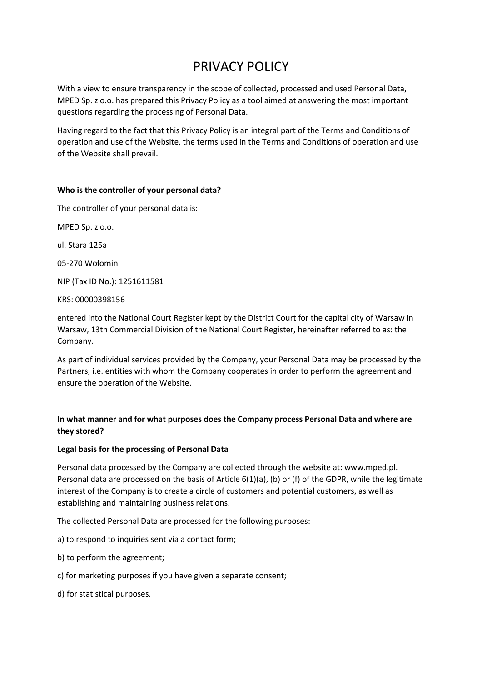# PRIVACY POLICY

With a view to ensure transparency in the scope of collected, processed and used Personal Data, MPED Sp. z o.o. has prepared this Privacy Policy as a tool aimed at answering the most important questions regarding the processing of Personal Data.

Having regard to the fact that this Privacy Policy is an integral part of the Terms and Conditions of operation and use of the Website, the terms used in the Terms and Conditions of operation and use of the Website shall prevail.

## **Who is the controller of your personal data?**

The controller of your personal data is:

MPED Sp. z o.o.

ul. Stara 125a

05-270 Wołomin

NIP (Tax ID No.): 1251611581

KRS: 00000398156

entered into the National Court Register kept by the District Court for the capital city of Warsaw in Warsaw, 13th Commercial Division of the National Court Register, hereinafter referred to as: the Company.

As part of individual services provided by the Company, your Personal Data may be processed by the Partners, i.e. entities with whom the Company cooperates in order to perform the agreement and ensure the operation of the Website.

# **In what manner and for what purposes does the Company process Personal Data and where are they stored?**

#### **Legal basis for the processing of Personal Data**

Personal data processed by the Company are collected through the website at: www.mped.pl. Personal data are processed on the basis of Article 6(1)(a), (b) or (f) of the GDPR, while the legitimate interest of the Company is to create a circle of customers and potential customers, as well as establishing and maintaining business relations.

The collected Personal Data are processed for the following purposes:

- a) to respond to inquiries sent via a contact form;
- b) to perform the agreement;
- c) for marketing purposes if you have given a separate consent;
- d) for statistical purposes.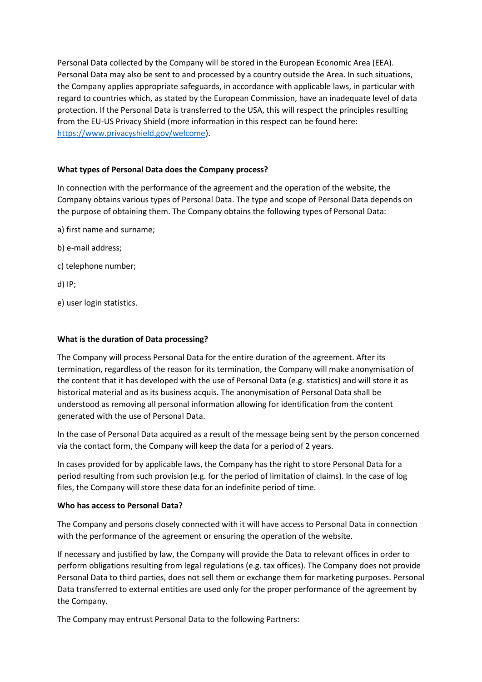Personal Data collected by the Company will be stored in the European Economic Area (EEA). Personal Data may also be sent to and processed by a country outside the Area. In such situations, the Company applies appropriate safeguards, in accordance with applicable laws, in particular with regard to countries which, as stated by the European Commission, have an inadequate level of data protection. If the Personal Data is transferred to the USA, this will respect the principles resulting from the EU-US Privacy Shield (more information in this respect can be found here: [https://www.privacyshield.gov/welcome\)](https://www.privacyshield.gov/welcome).

# **What types of Personal Data does the Company process?**

In connection with the performance of the agreement and the operation of the website, the Company obtains various types of Personal Data. The type and scope of Personal Data depends on the purpose of obtaining them. The Company obtains the following types of Personal Data:

- a) first name and surname;
- b) e-mail address;
- c) telephone number;

d) IP;

e) user login statistics.

## **What is the duration of Data processing?**

The Company will process Personal Data for the entire duration of the agreement. After its termination, regardless of the reason for its termination, the Company will make anonymisation of the content that it has developed with the use of Personal Data (e.g. statistics) and will store it as historical material and as its business acquis. The anonymisation of Personal Data shall be understood as removing all personal information allowing for identification from the content generated with the use of Personal Data.

In the case of Personal Data acquired as a result of the message being sent by the person concerned via the contact form, the Company will keep the data for a period of 2 years.

In cases provided for by applicable laws, the Company has the right to store Personal Data for a period resulting from such provision (e.g. for the period of limitation of claims). In the case of log files, the Company will store these data for an indefinite period of time.

#### **Who has access to Personal Data?**

The Company and persons closely connected with it will have access to Personal Data in connection with the performance of the agreement or ensuring the operation of the website.

If necessary and justified by law, the Company will provide the Data to relevant offices in order to perform obligations resulting from legal regulations (e.g. tax offices). The Company does not provide Personal Data to third parties, does not sell them or exchange them for marketing purposes. Personal Data transferred to external entities are used only for the proper performance of the agreement by the Company.

The Company may entrust Personal Data to the following Partners: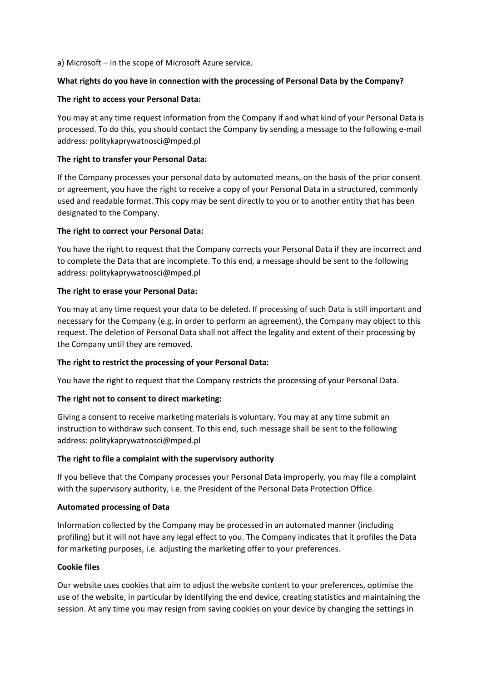a) Microsoft – in the scope of Microsoft Azure service.

## **What rights do you have in connection with the processing of Personal Data by the Company?**

## **The right to access your Personal Data:**

You may at any time request information from the Company if and what kind of your Personal Data is processed. To do this, you should contact the Company by sending a message to the following e-mail address: politykaprywatnosci@mped.pl

## **The right to transfer your Personal Data:**

If the Company processes your personal data by automated means, on the basis of the prior consent or agreement, you have the right to receive a copy of your Personal Data in a structured, commonly used and readable format. This copy may be sent directly to you or to another entity that has been designated to the Company.

## **The right to correct your Personal Data:**

You have the right to request that the Company corrects your Personal Data if they are incorrect and to complete the Data that are incomplete. To this end, a message should be sent to the following address: politykaprywatnosci@mped.pl

## **The right to erase your Personal Data:**

You may at any time request your data to be deleted. If processing of such Data is still important and necessary for the Company (e.g. in order to perform an agreement), the Company may object to this request. The deletion of Personal Data shall not affect the legality and extent of their processing by the Company until they are removed.

# **The right to restrict the processing of your Personal Data:**

You have the right to request that the Company restricts the processing of your Personal Data.

# **The right not to consent to direct marketing:**

Giving a consent to receive marketing materials is voluntary. You may at any time submit an instruction to withdraw such consent. To this end, such message shall be sent to the following address: politykaprywatnosci@mped.pl

# **The right to file a complaint with the supervisory authority**

If you believe that the Company processes your Personal Data improperly, you may file a complaint with the supervisory authority, i.e. the President of the Personal Data Protection Office.

#### **Automated processing of Data**

Information collected by the Company may be processed in an automated manner (including profiling) but it will not have any legal effect to you. The Company indicates that it profiles the Data for marketing purposes, i.e. adjusting the marketing offer to your preferences.

# **Cookie files**

Our website uses cookies that aim to adjust the website content to your preferences, optimise the use of the website, in particular by identifying the end device, creating statistics and maintaining the session. At any time you may resign from saving cookies on your device by changing the settings in